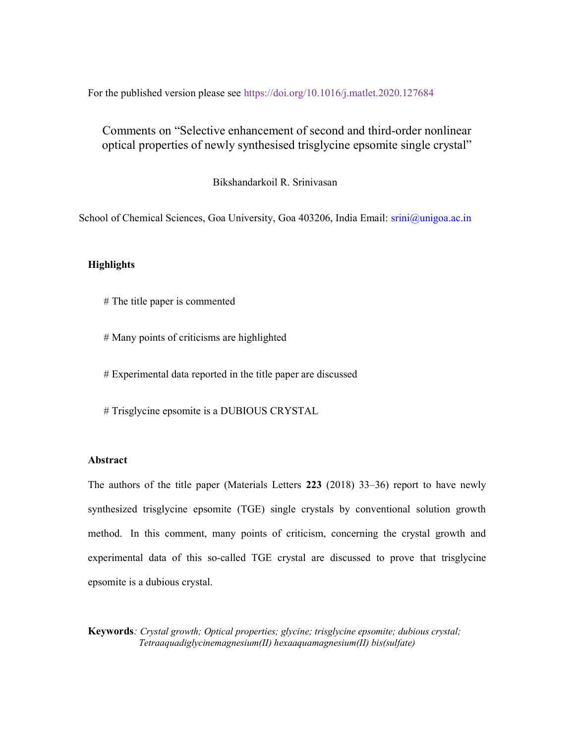For the published version please see https://doi.org/10.1016/j.matlet.2020.127684

# Comments on "Selective enhancement of second and third-order nonlinear optical properties of newly synthesised trisglycine epsomite single crystal"

Bikshandarkoil R. Srinivasan

School of Chemical Sciences, Goa University, Goa 403206, India Email: srini@unigoa.ac.in

### **Highlights**

- # The title paper is commented
- # Many points of criticisms are highlighted

# Experimental data reported in the title paper are discussed

# Trisglycine epsomite is a DUBIOUS CRYSTAL

## Abstract

The authors of the title paper (Materials Letters 223 (2018) 33–36) report to have newly synthesized trisglycine epsomite (TGE) single crystals by conventional solution growth method. In this comment, many points of criticism, concerning the crystal growth and experimental data of this so-called TGE crystal are discussed to prove that trisglycine epsomite is a dubious crystal.

Keywords: Crystal growth; Optical properties; glycine; trisglycine epsomite; dubious crystal; Tetraaquadiglycinemagnesium(II) hexaaquamagnesium(II) bis(sulfate)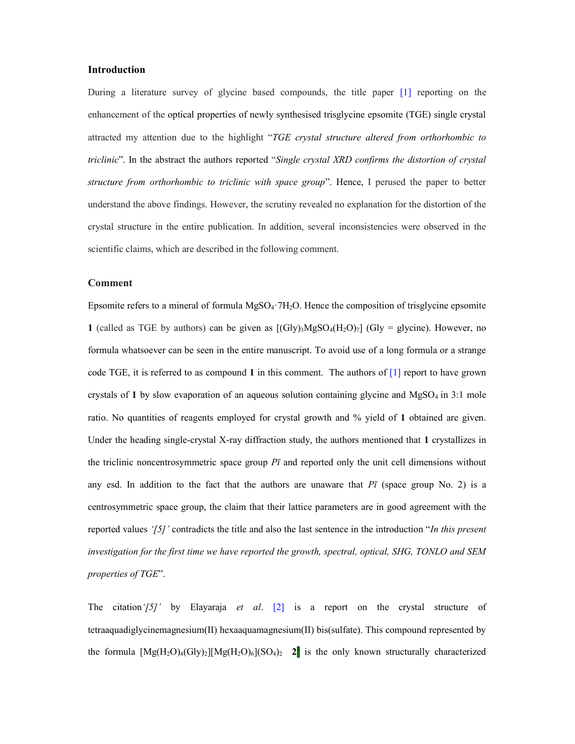#### Introduction

During a literature survey of glycine based compounds, the title paper [1] reporting on the enhancement of the optical properties of newly synthesised trisglycine epsomite (TGE) single crystal attracted my attention due to the highlight "TGE crystal structure altered from orthorhombic to triclinic". In the abstract the authors reported "Single crystal XRD confirms the distortion of crystal structure from orthorhombic to triclinic with space group". Hence, I perused the paper to better understand the above findings. However, the scrutiny revealed no explanation for the distortion of the crystal structure in the entire publication. In addition, several inconsistencies were observed in the scientific claims, which are described in the following comment.

#### Comment

Epsomite refers to a mineral of formula  $MgSO_4$   $7H_2O$ . Hence the composition of trisglycine epsomite 1 (called as TGE by authors) can be given as  $[(Gly)_3MgSO_4(H_2O)_7]$  (Gly = glycine). However, no formula whatsoever can be seen in the entire manuscript. To avoid use of a long formula or a strange code TGE, it is referred to as compound 1 in this comment. The authors of  $[1]$  report to have grown crystals of 1 by slow evaporation of an aqueous solution containing glycine and  $MgSO<sub>4</sub>$  in 3:1 mole ratio. No quantities of reagents employed for crystal growth and % yield of 1 obtained are given. Under the heading single-crystal X-ray diffraction study, the authors mentioned that 1 crystallizes in the triclinic noncentrosymmetric space group  $P\bar{\imath}$  and reported only the unit cell dimensions without any esd. In addition to the fact that the authors are unaware that  $P\bar{\imath}$  (space group No. 2) is a centrosymmetric space group, the claim that their lattice parameters are in good agreement with the reported values ' $[5]$ ' contradicts the title and also the last sentence in the introduction "In this present" investigation for the first time we have reported the growth, spectral, optical, SHG, TONLO and SEM properties of TGE".

The citation' $(5)$ ' by Elayaraja et al.  $[2]$  is a report on the crystal structure of tetraaquadiglycinemagnesium(II) hexaaquamagnesium(II) bis(sulfate). This compound represented by the formula  $[Mg(H_2O)_4(Gly)_2][Mg(H_2O)_6](SO_4)_2$  2 is the only known structurally characterized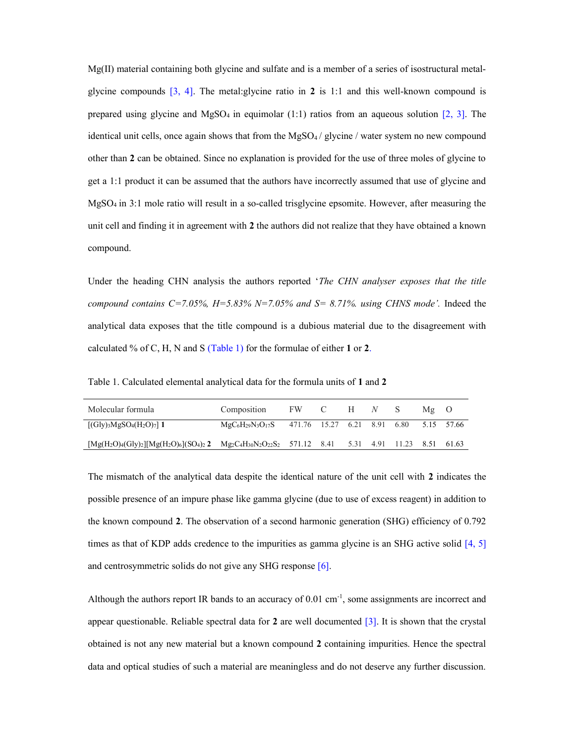Mg(II) material containing both glycine and sulfate and is a member of a series of isostructural metalglycine compounds  $[3, 4]$ . The metal:glycine ratio in 2 is 1:1 and this well-known compound is prepared using glycine and  $MgSO_4$  in equimolar (1:1) ratios from an aqueous solution [2, 3]. The identical unit cells, once again shows that from the  $MgSO_4$  / glycine / water system no new compound other than 2 can be obtained. Since no explanation is provided for the use of three moles of glycine to get a 1:1 product it can be assumed that the authors have incorrectly assumed that use of glycine and MgSO4 in 3:1 mole ratio will result in a so-called trisglycine epsomite. However, after measuring the unit cell and finding it in agreement with 2 the authors did not realize that they have obtained a known compound.

Under the heading CHN analysis the authors reported 'The CHN analyser exposes that the title compound contains C=7.05%,  $H=5.83\%$  N=7.05% and S= 8.71%. using CHNS mode'. Indeed the analytical data exposes that the title compound is a dubious material due to the disagreement with calculated % of C, H, N and S (Table 1) for the formulae of either 1 or 2.

Table 1. Calculated elemental analytical data for the formula units of 1 and 2

| Molecular formula                                                                                            | Composition                                         | FW C H N S |  |  | $Mg$ O |            |
|--------------------------------------------------------------------------------------------------------------|-----------------------------------------------------|------------|--|--|--------|------------|
| $[(Gly)_{3}MgSO_{4}(H_{2}O)_{7}]$ 1                                                                          | $MgC_6H_{29}N_3O_{17}S$ 471.76 15.27 6.21 8.91 6.80 |            |  |  |        | 5.15 57.66 |
| $[Mg(H_2O)_4(Gly)_2][Mg(H_2O)_6](SO_4)_2$ $Mg_2C_4H_{30}N_2O_{22}S_2$ 571.12 8.41 5.31 4.91 11.23 8.51 61.63 |                                                     |            |  |  |        |            |

The mismatch of the analytical data despite the identical nature of the unit cell with 2 indicates the possible presence of an impure phase like gamma glycine (due to use of excess reagent) in addition to the known compound 2. The observation of a second harmonic generation (SHG) efficiency of 0.792 times as that of KDP adds credence to the impurities as gamma glycine is an SHG active solid [4, 5] and centrosymmetric solids do not give any SHG response [6].

Although the authors report IR bands to an accuracy of  $0.01 \text{ cm}^{-1}$ , some assignments are incorrect and appear questionable. Reliable spectral data for  $2$  are well documented  $\lceil 3 \rceil$ . It is shown that the crystal obtained is not any new material but a known compound 2 containing impurities. Hence the spectral data and optical studies of such a material are meaningless and do not deserve any further discussion.